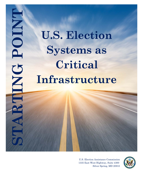# **U.S. Election Systems as Critical Infrastructure**

STARTING POINT

**CHANG** 

PAR.

**POINT** 

U.S. Election Assistance Commission 1335 East West Highway, Suite 4300 Silver Spring, MD 20910

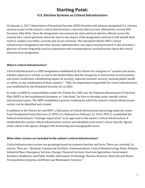# **Starting Point: U.S. Election Systems as Critical Infrastructure**

On January 6, 2017, Department of Homeland Security (DHS) Secretary Jeh Johnson designated U.S. election systems as part of the nation's critical infrastructure, a decision that was later affirmed by current DHS Secretary John Kelly. Since the designation was announced, state and local election officials across the country have raised questions about the day-to-day impact of the designation and how it will benefit their work to conduct accessible, accurate and secure elections. This document details DHS's critical infrastructure designation and what election administrators can expect moving forward. It also provides a glossary of terms frequently used in conjunction with correspondence and discussions about the critical infrastructure designation.

#### **What is critical infrastructure?**

Critical infrastructure is a DHS designation established by the Patriot Act and given to "systems and assets, whether physical or virtual, so vital to the United States that the incapacity or destruction of such systems and assets would have a debilitating impact on [se](#page-10-0)curity, national economic security, national public health or safety, or any combination of those matters." i DHS, the department responsible for critical infrastructure, was established by the Homeland Security Act in 2002.

In order to fulfill its responsibilities under the Patriot Act, DHS uses the National Infrastructure Protection Plan (NIPP) as the foundational document, or "rule book," for how to develop sector-specific critical infrastructure plans. The NIPP established a process roadmap by which the nation's critical infrastructure sectors can be identified and created.

In addition to the Patriot Act and NIPP, a third piece of critical infrastructure governing authority comes from Presidential Policy Directive 21 (PPD-21). Released on February 12, 2013, PPD-21 established the Federal Government's "strategic imperatives" in its approach to the nation's critical infrastructure. It established the current critical infrastructure sectors and identified each sector's Sector Specific Agency (SSA), which is the agency charged with structuring and managing the sector.

#### **What other sectors are included in the nation's critical infrastructure?**

 Transportation Systems; and Water and Wastewater Systems. [ii](#page-10-1)Critical infrastructure sectors are groupings based on common function and form. There are currently 16 sectors. They are: Chemical; Commercial Facilities; Communications; Critical Manufacturing; Dams; Defense Industrial Base; Emergency Services; Energy; Financial Services; Food and Agriculture; Government Facilities; Healthcare and Public Health; Information Technology; Nuclear Reactors, Materials and Waste;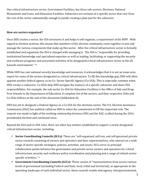One critical infrastructure sector, Government Facilities, has three sub-sectors, Elections, National Monuments and Icons, and Education Facilities. Subsectors are sections of a specific sector that vary from the rest of the sector substantially enough to justify creating a plan just for the subsector.

#### **How are sectors organized?**

 hazards environment." iii Once DHS creates a sector, the SSA structures it and helps it self-organize, a requirement of the NIPP. With regard to election systems, this means that members of the election community come together to join and manage the various components that make up this sector. After the critical infrastructure sector is formally established and organized, the SSA is charged with managing it. The SSA is "responsible for providing institutional knowledge and specialized expertise as well as leading, facilitating, or supporting the security and resilience program[s a](#page-10-2)nd associated activities of its designated critical infrastructure sector in the all-

While DHS has vast national security knowledge and resources, it acknowledges that it is not an issue-area expert for some of the sectors designated as critical infrastructure. To fill this knowledge gap, DHS will often appoint another federal agency as its Co- Sector Specific Agency (Co-SSA). This is especially common when DHS creates a subsector. Co-SSAs help DHS navigate the nuances of a specific subsector and share SSA responsibilities. For example, the sub-sector Co-SSA for Education Facilities is the Office of Safe and Drug-Free Schools in the Department of Education. A complete list of the sectors, and their respective SSAs and Co-SSAs follows at the end of this document (Addendum II).

DHS has yet to designate a Federal Agency as a Co-SSA for the elections sector. The U.S. Election Assistance Commission (EAC) has publicly called on DHS to select the commission to fill this important role. The request was made in light of the working relationship between DHS and the EAC, crafted during the 2016 presidential election and continued since.

Beyond the SSA and Co-SSA roles, there are other key entities established to support a newly designated critical infrastructure sector, including:

- specific activities." <sup>iv</sup> **Sector Coordinating Councils (SCCs)**: These are "self-organized, self-run, and self-governed private sector councils consisting of owners and operators and their representatives, who interact on a wide range of sector-specific strategies, policies, activities, and issues. SCCs serve as principal collaboration points between the government and private sector owners and operators for critical infrastructure security and resilience policy coordination and planning and a range of related sector-
- **Government Coordinating Councils (GCCs)**: These consist of "representatives from across various levels of government (including Federal and State, local, tribal and territorial), as appropriate to the operating landscape of each individual sector, these councils enable interagency, intergovernmental,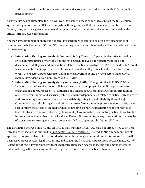and cross-jurisdictional coordination within and across sectors and partner with SCCs on publicprivate efforts." [v](#page-10-4)

As part of its designation plan, the SSA will work to establish these councils to support the U.S. election systems designation. For the U.S. election system, these groups will likely include representatives from federal, state, and local government; election system vendors; and other stakeholders impacted by the critical infrastructure designation.

Another key component of operating a critical infrastructure sector is to ensure clear, strong lines of communication between the SSA, Co-SSA, coordinating councils, and stakeholders. This can include creation of the following:

- **Information Sharing and Analysis Centers (ISACs)**: These are "operational entities formed by critical infrastructure owners and operators to gather, analyze, appropriately sanitize, and disseminate intelligence and information related to critical infrastructure. ISACs provide 24/7 threat warning and incident reporting capabilities and have the ability to reach and share information within their sectors, between sectors, and among government and private sector stakeholders." (Source: Presidential Decision Directive 63, 1998)<sup>[vi](#page-10-5)</sup>
- **Information Sharing and Analysis Organizations (ISAOs):** Though similar to ISACs, ISAOs are "any formal or informal entity or collaboration created or employed by public or private sector organizations, for purposes of: (a) Gathering and analyzing Critical Infrastructure information in order to better understand security problems and interdependencies related to critical infrastructure and protected systems, so as to ensure the availability, integrity, and reliability thereof; (b) Communicating or disclosing Critical Infrastructure information to help prevent, detect, mitigate, or recover from the effects of an interference, compromise, or an incapacitation problem related to Critical Infrastructure or protected systems; and (c) Voluntarily disseminating Critical Infrastructure information to its members, State, local, and Federal Governments, or any other entities that may be of assistance in carrying out the purposes specified in subparagraphs (a) and (b)." [vii](#page-10-6)

The distinction between an ISAC and an ISAO is that "[u]nlike ISACs, ISAOs are not directly tied to Critical Infrastructure sectors, as outlined in [Presidential Policy Directive 21.](http://www.whitehouse.gov/the-press-office/2013/02/12/presidential-policy-directive-critical-infrastructure-security-and-resil) Instead, ISAOs offer a more flexible approach to self-organized information sharing activities amongst communities of interest such as small businesses across sectors: legal, accounting, and consulting firms that support cross-sector clients, etc." [viii](#page-10-7) Essentially, ISAOs allow for more widespread information sharing across sectors and among interested individuals regardless of clearance, knowledge level, or inclusion in a critical infrastructure sector.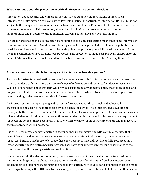#### **What is unique about the protection of critical infrastructure communications?**

 vulnerabilities and problems without publically exposing potentially sensitive information. ix Information about security and vulnerabilities that is shared under the restrictions of the Critical Infrastructure Information Act is considered Protected Critical Infrastructure Information (PCII). PCII is not subject to the many disclosure regulations, such as those found in the Freedom of Information Act and its state-level counterpart. This protection, allows the critical infrastructure community to dis[cu](#page-10-8)ss

For those participating in election sector coordinating councils this protection means that some information communicated between DHS and the coordinating councils can be protected. This limits the potential for sensitive election security information to be made public and protects potentially sensitive material from being misconstrued or used for nefarious purposes. This protection is made possible by an exception to the Federal Advisory Committee Act created by the Critical Infrastructure Partnership Advisory Council.<sup>[x](#page-10-9)</sup>

#### **Are new resources available following a critical infrastructure designation?**

A critical infrastructure designation provides for greater access to DHS information and security resources. It also provides a safer and more discreet exchange of information and requests for advice or assistance. While it is important to note that DHS will provide assistance to any domestic entity that requests help and not just critical infrastructure, its assistance to entities within a critical infrastructure sector is prioritized over providing assistance to non-critical infrastructure entities.

DHS resources – including on-going and current information about threats, risk and vulnerability assessments, and security best practices as well as hands-on advice – help infrastructure owners and managers better secure their systems. The department emphasizes the importance of the information assets it has available to critical infrastructure entities and understands that security clearances are a requirement for accessing some of these resources. This is why DHS works with infrastructure owners and managers to secure clearances when necessary.

Use of DHS resources and participation in sector councils is voluntary, and DHS continually states that it cannot force critical infrastructure owners and managers to interact with a sector, its components, or its resources. Entities that choose to leverage these new resources have a direct line to DHS resources via a Cyber Security and Protective Security Advisor. These advisors directly supply security assistance to the country and handle on-going assistance to CI entities.

While some within the election community remain skeptical about the critical infrastructure designation, their outstanding concerns about the designation make the case for why input from key election sector stakeholders is a vital part of setting up the needed infrastructure of councils and committees that can make this designation impactful. DHS is actively seeking participation from election stakeholders and their sector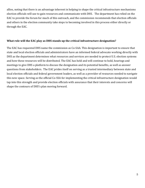allies, noting that there is an advantage inherent in helping to shape the critical infrastructure mechanisms election officials will use to gain resources and communicate with DHS. The department has relied on the EAC to provide the forum for much of this outreach, and the commission recommends that election officials and others in the election community take steps to becoming involved in this process either directly or through the EAC.

#### **What role will the EAC play as DHS stands up the critical infrastructure designation?**

The EAC has requested DHS name the commission as Co-SAA. This designation is important to ensure that state and local election officials and administrators have an informed federal advocate working directly with DHS as the department determines what resources and services are needed to protect U.S. election systems and how these resources will be distributed. The EAC has held and will continue to hold, hearings and meetings to give DHS a platform to discuss the designation and its potential benefits, as well as answer questions from stakeholders. The EAC prides itself on serving as a trusted intermediary between state and local election officials and federal government leaders, as well as a provider of resources needed to navigate this new space. Serving as the official Co-SSA for implementing the critical infrastructure designation would tap into this strength and provide election officials with assurance that their interests and concerns will shape the contours of DHS's plan moving forward.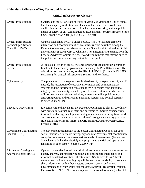## **Addendum I: Glossary of Key Terms and Acronyms**

## **Critical Infrastructure Glossary**

| <b>Critical Infrastructure</b>                                            | Systems and assets, whether physical or virtual, so vital to the United States<br>that the incapacity or destruction of such systems and assets would have a<br>debilitating impact on security, national economic security, national public<br>health or safety, or any combination of those matters. (Source: §1016(e) of the<br>USA Patriot Act of 2001 (42 U.S.C. §5195c(e)))                                                                                                                                                                           |  |
|---------------------------------------------------------------------------|-------------------------------------------------------------------------------------------------------------------------------------------------------------------------------------------------------------------------------------------------------------------------------------------------------------------------------------------------------------------------------------------------------------------------------------------------------------------------------------------------------------------------------------------------------------|--|
| <b>Critical Infrastructure</b><br>Partnership Advisory<br>Council (CIPAC) | Council established by DHS under 6 U.S.C. §451 to facilitate effective<br>interaction and coordination of critical infrastructure activities among the<br>Federal Government, the private sector, and State, local, tribal and territorial<br>governments. (Source: CIPAC Charter) These meetings are exempt from the<br>Federal Advisory Committee Act (FACA) requirements that they be open to<br>the public and provide meeting materials to the public.                                                                                                 |  |
| <b>Critical Infrastructure</b><br>Sector                                  | A logical collection of assets, systems, or networks that provide a common<br>function to the economy, government, or society; NIPP 2013 addresses 16<br>critical infrastructure sectors, as identified in PPD-21. (Source: NIPP 2013:<br>Partnering for Critical Infrastructure Security and Resilience)                                                                                                                                                                                                                                                   |  |
| Cybersecurity                                                             | The prevention of damage to, unauthorized use of, or exploitation of, and, if<br>needed, the restoration of electronic information and communications<br>systems and the information contained therein to ensure confidentiality,<br>integrity, and availability; includes protection and restoration, when needed,<br>of information networks and wireline, wireless, satellite, public safety<br>answering points, and 911 communications systems and control systems.<br>(Source: 2009 NIPP)                                                             |  |
| <b>Executive Order 13636</b>                                              | Executive Order that calls for the Federal Government to closely coordinate<br>with critical infrastructure owners and operators to improve cybersecurity<br>information sharing; develop a technology-neutral cybersecurity framework;<br>and promote and incentivize the adoption of strong cybersecurity practices.<br>(Executive Order 13636, Improving Critical Infrastructure Cybersecurity,<br>February 2013)                                                                                                                                        |  |
| <b>Government Coordinating</b><br>Council (GCC)                           | The government counterpart to the Sector Coordinating Council for each<br>sector established to enable interagency and intergovernmental coordination;<br>comprises representatives across various levels of government (Federal and<br>State, local, tribal and territorial) as appropriate to the risk and operational<br>landscape of each sector. (Source: 2009 NIPP)                                                                                                                                                                                   |  |
| <b>Information Sharing and</b><br>Analysis Centers (ISACs)                | Operational entities formed by critical infrastructure owners and operators to<br>gather, analyze, appropriately sanitize, and disseminate intelligence and<br>information related to critical infrastructure. ISACs provide 24/7 threat<br>warning and incident reporting capabilities and have the ability to reach and<br>share information within their sectors, between sectors, and among<br>government and private sector stakeholders. (Source: Presidential Decision<br>Directive 63, 1998) ISACs are not operated, controlled, or managed by DHS. |  |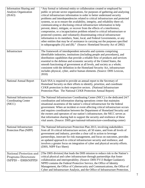| <b>Information Sharing and</b><br>Analysis Organization<br>(ISAO)        | "Any formal or informal entity or collaboration created or employed by<br>public or private sector organizations, for purposes of gathering and analyzing<br>critical infrastructure information in order to better understand security<br>problems and interdependencies related to critical infrastructure and protected<br>systems, so as to ensure the availability, integrity, and reliability there of;<br>communicating or disclosing critical infrastructure information to help<br>prevent, detect, mitigate, or recover from the effects of a interference,<br>compromise, or a incapacitation problem related to critical infrastructure or<br>protected systems; and voluntarily disseminating critical infrastructure<br>information to its members, State, local, and Federal Governments, or any<br>other entities that may be of assistance in carrying out the purposes specified<br>in subparagraphs (A) and (B)." (Source: Homeland Security Act of 2002) |  |
|--------------------------------------------------------------------------|------------------------------------------------------------------------------------------------------------------------------------------------------------------------------------------------------------------------------------------------------------------------------------------------------------------------------------------------------------------------------------------------------------------------------------------------------------------------------------------------------------------------------------------------------------------------------------------------------------------------------------------------------------------------------------------------------------------------------------------------------------------------------------------------------------------------------------------------------------------------------------------------------------------------------------------------------------------------------|--|
| Infrastructure                                                           | The framework of interdependent networks and systems comprising<br>identifiable industries, institutions (including people and procedures), and<br>distribution capabilities that provide a reliable flow of products and services<br>essential to the defense and economic security of the United States, the<br>smooth functioning of government at all levels, and society as a whole;<br>consistent with the definition in the Homeland Security Act, infrastructure<br>includes physical, cyber, and/or human elements. (Source: DHS Lexicon,<br>2010)                                                                                                                                                                                                                                                                                                                                                                                                                  |  |
| <b>National Annual Report</b>                                            | Each SSA is required to provide an annual report to the Secretary of<br>Homeland Security on their efforts to identify, prioritize, and coordinate<br>CI/KR protection in their respective sectors. (National Infrastructure<br>Protection Plan: The National CI/KR Protection Annual Report)                                                                                                                                                                                                                                                                                                                                                                                                                                                                                                                                                                                                                                                                                |  |
| National Infrastructure<br><b>Coordinating Center</b><br>(NICC)          | The National Infrastructure Coordinating Center (NICC) is the dedicated 24/7<br>coordination and information sharing operations center that maintains<br>situational awareness of the nation's critical infrastructure for the federal<br>government. When an incident or event affecting critical infrastructure occurs<br>and requires coordination between the Department of Homeland Security and<br>the owners and operators of our nation's infrastructure, the NICC serves as<br>that information sharing hub to support the security and resilience of these<br>vital assets. (Source: DHS.gov/national-infrastructure-coordinating-center)                                                                                                                                                                                                                                                                                                                          |  |
| National Infrastructure<br>Protection Plan (NIPP)                        | The National Infrastructure Protection Plan 2013, involving stakeholders<br>from all 16 critical infrastructure sectors, all 50 states, and from all levels of<br>government and industry, provides a clear call to action to leverage<br>partnerships, innovate for risk management, and focus on outcomes, provides<br>an updated approach to critical infrastructure security and resilience, and<br>involves a greater focus on integration of cyber and physical security efforts.<br>(DHS, NIPP Fact Sheet)                                                                                                                                                                                                                                                                                                                                                                                                                                                            |  |
| National Protection and<br>Programs Directorate<br>$(NPPD) - (DHS/NPPD)$ | [The DHS division] that leads the DHS mission to reduce risk to the Nation's<br>critical physical and cyber infrastructure through partnerships that foster<br>collaboration and interoperability. (Source: DHS FY13 Budget Guidance).<br>NPPD contains the Federal Protective Service, the Office of Identity<br>Management, the Office of Cybersecurity and Communications, the Office of<br>Cyber and Infrastructure Analysis, and the Office of Infrastructure Protection.                                                                                                                                                                                                                                                                                                                                                                                                                                                                                               |  |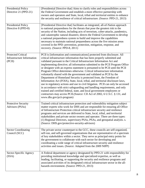| Presidential Policy<br>Directive 21 (PPD-21)                             | [Presidential Directive that] Aims to clarify roles and responsibilities across<br>the Federal Government and establish a more effective partnership with                                                                                                                                                                                                                                                                                                                                                                                                                                                                                                                                                                                                                                                                                                                                                                                                                                                                                                    |  |  |
|--------------------------------------------------------------------------|--------------------------------------------------------------------------------------------------------------------------------------------------------------------------------------------------------------------------------------------------------------------------------------------------------------------------------------------------------------------------------------------------------------------------------------------------------------------------------------------------------------------------------------------------------------------------------------------------------------------------------------------------------------------------------------------------------------------------------------------------------------------------------------------------------------------------------------------------------------------------------------------------------------------------------------------------------------------------------------------------------------------------------------------------------------|--|--|
|                                                                          | owners and operators and State, local, tribal and territorial entities to enhance<br>the security and resilience of critical infrastructure. (Source: PPD-21, 2013)                                                                                                                                                                                                                                                                                                                                                                                                                                                                                                                                                                                                                                                                                                                                                                                                                                                                                          |  |  |
| <b>Presidential Policy</b><br>Directive 8 (PPD-8)                        | [Presidential Directive that] facilitates an integrated, all-of-Nation approach<br>to national preparedness for the threats that pose the greatest risk to the<br>security of the Nation, including acts of terrorism, cyber-attacks, pandemics,<br>and catastrophic natural disasters; directs the Federal Government to develop<br>a national preparedness system to build and improve the capabilities<br>necessary to maintain national preparedness across the five mission areas<br>covered in the PPD: prevention, protection, mitigation, response, and<br>recovery. (Source: PPD-8, 2011)                                                                                                                                                                                                                                                                                                                                                                                                                                                           |  |  |
| <b>Protected Critical</b><br><b>Infrastructure Information</b><br>(PCII) | PCII is [information and communications] protected from disclosure. All<br>critical infrastructure information that has been properly submitted and<br>validated pursuant to the Critical Infrastructure Information Act and<br>implementing directive; all information submitted to the PCII Program Office<br>or designee with an express statement is presumed to be PCII until the PCII<br>Program Office determines otherwise. Critical infrastructure information<br>voluntarily shared with the government and validated as PCII by the<br>Department of Homeland Security is protected from, the Freedom of<br>Information Act (FOIA), State, local, tribal, and territorial disclosure laws,<br>use in regulatory actions and use in civil litigation. PCII can only be accessed<br>in accordance with strict safeguarding and handling requirements, and only<br>trained and certified federal, state, and local government employees or<br>contractors may access PCII.(Source: CII Act of 2002, 6 U.S.C. § 131, and<br>www.dhs.gov/pcii-program) |  |  |
| <b>Protective Security</b><br>Advisors (PSAs)                            | Trained critical infrastructure protection and vulnerability mitigation subject<br>matter experts who work for DHS and are responsible for ensuring all Office<br>of Infrastructure Protection critical infrastructure security and resilience<br>programs and services are delivered to State, local, tribal, and territorial<br>stakeholders and private sector owners and operator. There are three types:<br>(1) Regional Directors, supervisory PSAs, PSAs, and geospatial analysts. s.<br>(Source: DHS.gov/protective-security-advisors)                                                                                                                                                                                                                                                                                                                                                                                                                                                                                                               |  |  |
| <b>Sector Coordinating</b><br>Council (SCC)                              | The private sector counterpart to the GCC, these councils are self-organized,<br>self-run, and self-governed organizations that are representative of a spectrum<br>of key stakeholders within a sector. They serve as principal entry points for<br>the government to collaborate with each sector for developing and<br>coordinating a wide range of critical infrastructure security and resilience<br>activities and issues. (Source: Adapted from the 2009 NIPP)                                                                                                                                                                                                                                                                                                                                                                                                                                                                                                                                                                                        |  |  |
| Sector-Specific Agency<br>(SSA)                                          | A Federal department or agency designated by PPD-21 with responsibility for<br>providing institutional knowledge and specialized expertise, as well as<br>leading, facilitating, or supporting the security and resilience programs and<br>associated activities of its designated critical infrastructure sector in the all-<br>hazards environment. (Source: PPD-21, 2013)                                                                                                                                                                                                                                                                                                                                                                                                                                                                                                                                                                                                                                                                                 |  |  |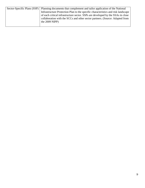| Sector-Specific Plans (SSP) Planning documents that complement and tailor application of the National |  |  |
|-------------------------------------------------------------------------------------------------------|--|--|
| Infrastructure Protection Plan to the specific characteristics and risk landscape                     |  |  |
| of each critical infrastructure sector. SSPs are developed by the SSAs in close                       |  |  |
| collaboration with the SCCs and other sector partners. (Source: Adapted from                          |  |  |
| the $2009$ NIPP)                                                                                      |  |  |
|                                                                                                       |  |  |